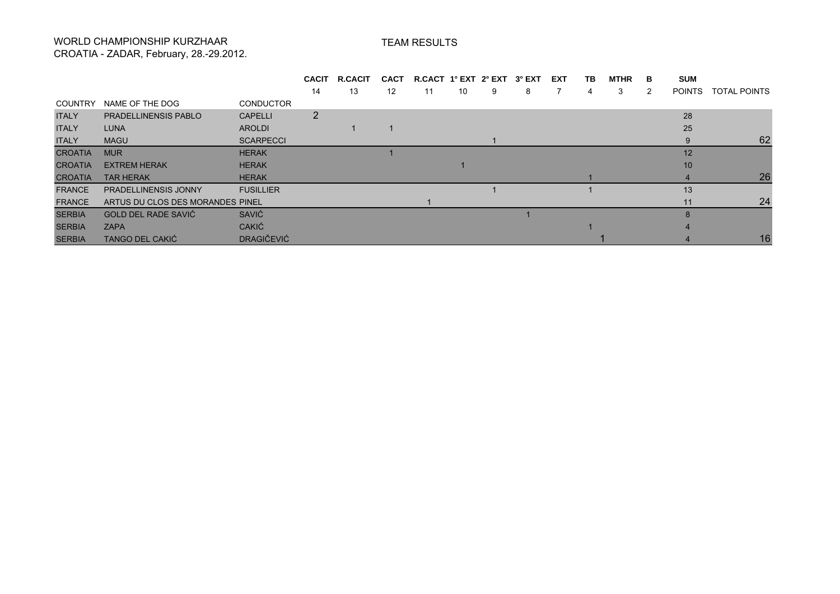## WORLD CHAMPIONSHIP KURZHAAR CROATIA - ZADAR, February, 28.-29.2012.

## TEAM RESULTS

|                |                                  |                   | <b>CACIT</b> | <b>R.CACIT</b> | <b>CACT</b> | R.CACT 1° EXT 2° EXT 3° EXT |    |   |   | EXT | TВ | <b>MTHR</b> | в | <b>SUM</b>    |                     |
|----------------|----------------------------------|-------------------|--------------|----------------|-------------|-----------------------------|----|---|---|-----|----|-------------|---|---------------|---------------------|
|                |                                  |                   | 14           | 13             | 12          | 11                          | 10 | 9 | 8 |     | 4  | 3           | 2 | <b>POINTS</b> | <b>TOTAL POINTS</b> |
| <b>COUNTRY</b> | NAME OF THE DOG                  | <b>CONDUCTOR</b>  |              |                |             |                             |    |   |   |     |    |             |   |               |                     |
| <b>ITALY</b>   | <b>PRADELLINENSIS PABLO</b>      | <b>CAPELLI</b>    | 2            |                |             |                             |    |   |   |     |    |             |   | 28            |                     |
| <b>ITALY</b>   | <b>LUNA</b>                      | <b>AROLDI</b>     |              |                |             |                             |    |   |   |     |    |             |   | 25            |                     |
| <b>ITALY</b>   | <b>MAGU</b>                      | <b>SCARPECCI</b>  |              |                |             |                             |    |   |   |     |    |             |   | 9             | 62                  |
| <b>CROATIA</b> | <b>MUR</b>                       | <b>HERAK</b>      |              |                |             |                             |    |   |   |     |    |             |   | 12            |                     |
| <b>CROATIA</b> | <b>EXTREM HERAK</b>              | <b>HERAK</b>      |              |                |             |                             |    |   |   |     |    |             |   | 10            |                     |
| <b>CROATIA</b> | <b>TAR HERAK</b>                 | <b>HERAK</b>      |              |                |             |                             |    |   |   |     |    |             |   |               | 26                  |
| <b>FRANCE</b>  | <b>PRADELLINENSIS JONNY</b>      | <b>FUSILLIER</b>  |              |                |             |                             |    |   |   |     |    |             |   | 13            |                     |
| <b>FRANCE</b>  | ARTUS DU CLOS DES MORANDES PINEL |                   |              |                |             |                             |    |   |   |     |    |             |   | 11            | 24                  |
| <b>SERBIA</b>  | GOLD DEL RADE SAVIĆ              | SAVIĆ             |              |                |             |                             |    |   |   |     |    |             |   | 8             |                     |
| <b>SERBIA</b>  | <b>ZAPA</b>                      | <b>CAKIĆ</b>      |              |                |             |                             |    |   |   |     |    |             |   |               |                     |
| <b>SERBIA</b>  | <b>TANGO DEL CAKIĆ</b>           | <b>DRAGIČEVIĆ</b> |              |                |             |                             |    |   |   |     |    |             |   |               | 16.                 |